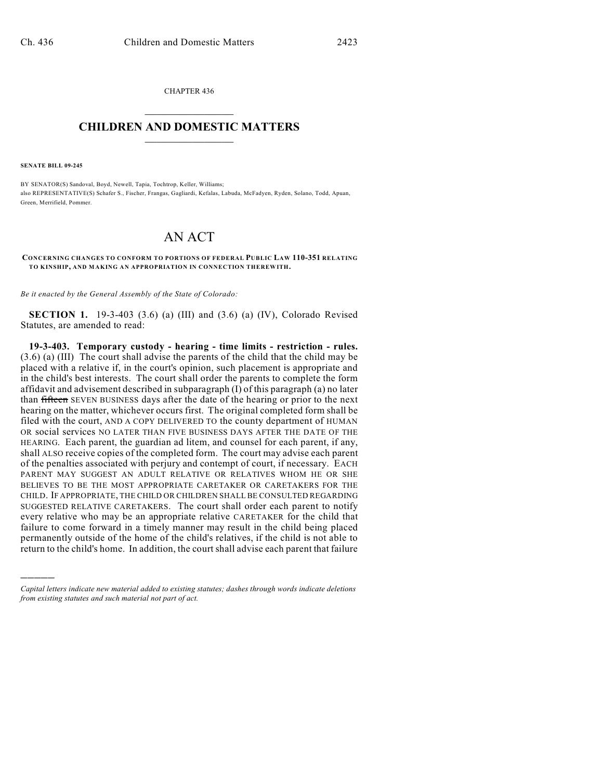CHAPTER 436  $\overline{\phantom{a}}$  . The set of the set of the set of the set of the set of the set of the set of the set of the set of the set of the set of the set of the set of the set of the set of the set of the set of the set of the set o

## **CHILDREN AND DOMESTIC MATTERS**  $\_$

**SENATE BILL 09-245**

)))))

BY SENATOR(S) Sandoval, Boyd, Newell, Tapia, Tochtrop, Keller, Williams; also REPRESENTATIVE(S) Schafer S., Fischer, Frangas, Gagliardi, Kefalas, Labuda, McFadyen, Ryden, Solano, Todd, Apuan, Green, Merrifield, Pommer.

## AN ACT

**CONCERNING CHANGES TO CONFORM TO PORTIONS OF FEDERAL PUBLIC LAW 110-351 RELATING TO KINSHIP, AND MAKING AN APPROPRIATION IN CONNECTION THEREWITH.**

*Be it enacted by the General Assembly of the State of Colorado:*

**SECTION 1.** 19-3-403 (3.6) (a) (III) and (3.6) (a) (IV), Colorado Revised Statutes, are amended to read:

**19-3-403. Temporary custody - hearing - time limits - restriction - rules.** (3.6) (a) (III) The court shall advise the parents of the child that the child may be placed with a relative if, in the court's opinion, such placement is appropriate and in the child's best interests. The court shall order the parents to complete the form affidavit and advisement described in subparagraph (I) of this paragraph (a) no later than fifteen SEVEN BUSINESS days after the date of the hearing or prior to the next hearing on the matter, whichever occurs first. The original completed form shall be filed with the court, AND A COPY DELIVERED TO the county department of HUMAN OR social services NO LATER THAN FIVE BUSINESS DAYS AFTER THE DATE OF THE HEARING. Each parent, the guardian ad litem, and counsel for each parent, if any, shall ALSO receive copies of the completed form. The court may advise each parent of the penalties associated with perjury and contempt of court, if necessary. EACH PARENT MAY SUGGEST AN ADULT RELATIVE OR RELATIVES WHOM HE OR SHE BELIEVES TO BE THE MOST APPROPRIATE CARETAKER OR CARETAKERS FOR THE CHILD. IF APPROPRIATE, THE CHILD OR CHILDREN SHALL BE CONSULTED REGARDING SUGGESTED RELATIVE CARETAKERS. The court shall order each parent to notify every relative who may be an appropriate relative CARETAKER for the child that failure to come forward in a timely manner may result in the child being placed permanently outside of the home of the child's relatives, if the child is not able to return to the child's home. In addition, the court shall advise each parent that failure

*Capital letters indicate new material added to existing statutes; dashes through words indicate deletions from existing statutes and such material not part of act.*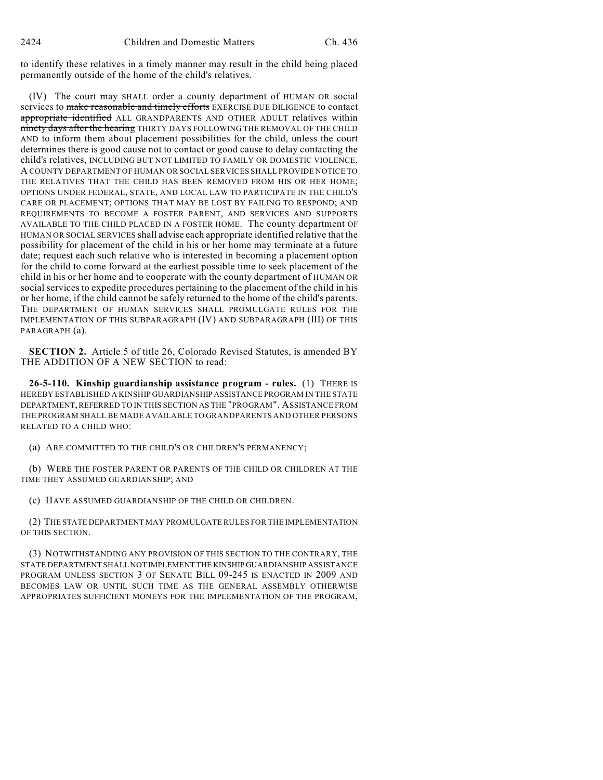to identify these relatives in a timely manner may result in the child being placed permanently outside of the home of the child's relatives.

(IV) The court may SHALL order a county department of HUMAN OR social services to make reasonable and timely efforts EXERCISE DUE DILIGENCE to contact appropriate identified ALL GRANDPARENTS AND OTHER ADULT relatives within ninety days after the hearing THIRTY DAYS FOLLOWING THE REMOVAL OF THE CHILD AND to inform them about placement possibilities for the child, unless the court determines there is good cause not to contact or good cause to delay contacting the child's relatives, INCLUDING BUT NOT LIMITED TO FAMILY OR DOMESTIC VIOLENCE. A COUNTY DEPARTMENT OF HUMAN OR SOCIAL SERVICES SHALL PROVIDE NOTICE TO THE RELATIVES THAT THE CHILD HAS BEEN REMOVED FROM HIS OR HER HOME; OPTIONS UNDER FEDERAL, STATE, AND LOCAL LAW TO PARTICIPATE IN THE CHILD'S CARE OR PLACEMENT; OPTIONS THAT MAY BE LOST BY FAILING TO RESPOND; AND REQUIREMENTS TO BECOME A FOSTER PARENT, AND SERVICES AND SUPPORTS AVAILABLE TO THE CHILD PLACED IN A FOSTER HOME. The county department OF HUMAN OR SOCIAL SERVICES shall advise each appropriate identified relative that the possibility for placement of the child in his or her home may terminate at a future date; request each such relative who is interested in becoming a placement option for the child to come forward at the earliest possible time to seek placement of the child in his or her home and to cooperate with the county department of HUMAN OR social services to expedite procedures pertaining to the placement of the child in his or her home, if the child cannot be safely returned to the home of the child's parents. THE DEPARTMENT OF HUMAN SERVICES SHALL PROMULGATE RULES FOR THE IMPLEMENTATION OF THIS SUBPARAGRAPH (IV) AND SUBPARAGRAPH (III) OF THIS PARAGRAPH (a).

**SECTION 2.** Article 5 of title 26, Colorado Revised Statutes, is amended BY THE ADDITION OF A NEW SECTION to read:

**26-5-110. Kinship guardianship assistance program - rules.** (1) THERE IS HEREBY ESTABLISHED A KINSHIP GUARDIANSHIP ASSISTANCE PROGRAM IN THE STATE DEPARTMENT, REFERRED TO IN THIS SECTION AS THE "PROGRAM". ASSISTANCE FROM THE PROGRAM SHALL BE MADE AVAILABLE TO GRANDPARENTS AND OTHER PERSONS RELATED TO A CHILD WHO:

(a) ARE COMMITTED TO THE CHILD'S OR CHILDREN'S PERMANENCY;

(b) WERE THE FOSTER PARENT OR PARENTS OF THE CHILD OR CHILDREN AT THE TIME THEY ASSUMED GUARDIANSHIP; AND

(c) HAVE ASSUMED GUARDIANSHIP OF THE CHILD OR CHILDREN.

(2) THE STATE DEPARTMENT MAY PROMULGATE RULES FOR THE IMPLEMENTATION OF THIS SECTION.

(3) NOTWITHSTANDING ANY PROVISION OF THIS SECTION TO THE CONTRARY, THE STATE DEPARTMENT SHALL NOT IMPLEMENT THE KINSHIP GUARDIANSHIP ASSISTANCE PROGRAM UNLESS SECTION 3 OF SENATE BILL 09-245 IS ENACTED IN 2009 AND BECOMES LAW OR UNTIL SUCH TIME AS THE GENERAL ASSEMBLY OTHERWISE APPROPRIATES SUFFICIENT MONEYS FOR THE IMPLEMENTATION OF THE PROGRAM,